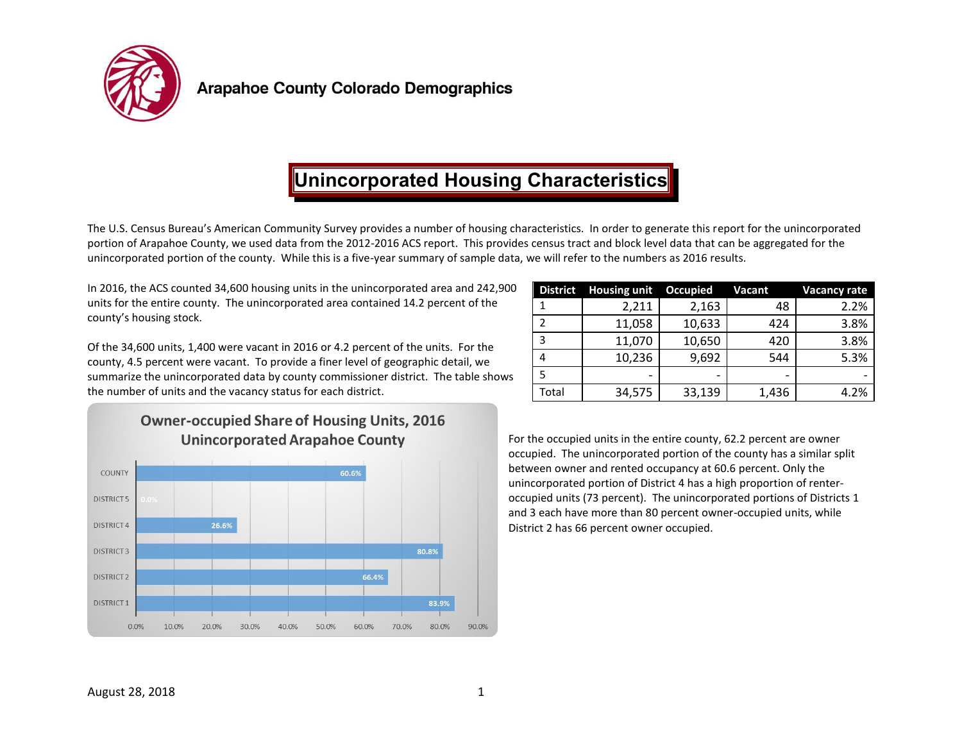

# **Unincorporated Housing Characteristics**

The U.S. Census Bureau's American Community Survey provides a number of housing characteristics. In order to generate this report for the unincorporated portion of Arapahoe County, we used data from the 2012-2016 ACS report. This provides census tract and block level data that can be aggregated for the unincorporated portion of the county. While this is a five-year summary of sample data, we will refer to the numbers as 2016 results.

In 2016, the ACS counted 34,600 housing units in the unincorporated area and 242,900 units for the entire county. The unincorporated area contained 14.2 percent of the county's housing stock.

Of the 34,600 units, 1,400 were vacant in 2016 or 4.2 percent of the units. For the county, 4.5 percent were vacant. To provide a finer level of geographic detail, we summarize the unincorporated data by county commissioner district. The table shows the number of units and the vacancy status for each district.

| <b>District</b> | <b>Housing unit</b> | <b>Occupied</b> | <b>Vacant</b> | <b>Vacancy rate</b> |
|-----------------|---------------------|-----------------|---------------|---------------------|
|                 | 2,211               | 2,163           | 48            | 2.2%                |
| 2               | 11,058              | 10,633          | 424           | 3.8%                |
| 3               | 11,070              | 10,650          | 420           | 3.8%                |
| 4               | 10,236              | 9,692           | 544           | 5.3%                |
| 5               |                     |                 |               |                     |
| Total           | 34,575              | 33,139          | 1,436         | 4.2%                |



For the occupied units in the entire county, 62.2 percent are owner occupied. The unincorporated portion of the county has a similar split between owner and rented occupancy at 60.6 percent. Only the unincorporated portion of District 4 has a high proportion of renteroccupied units (73 percent). The unincorporated portions of Districts 1 and 3 each have more than 80 percent owner-occupied units, while District 2 has 66 percent owner occupied.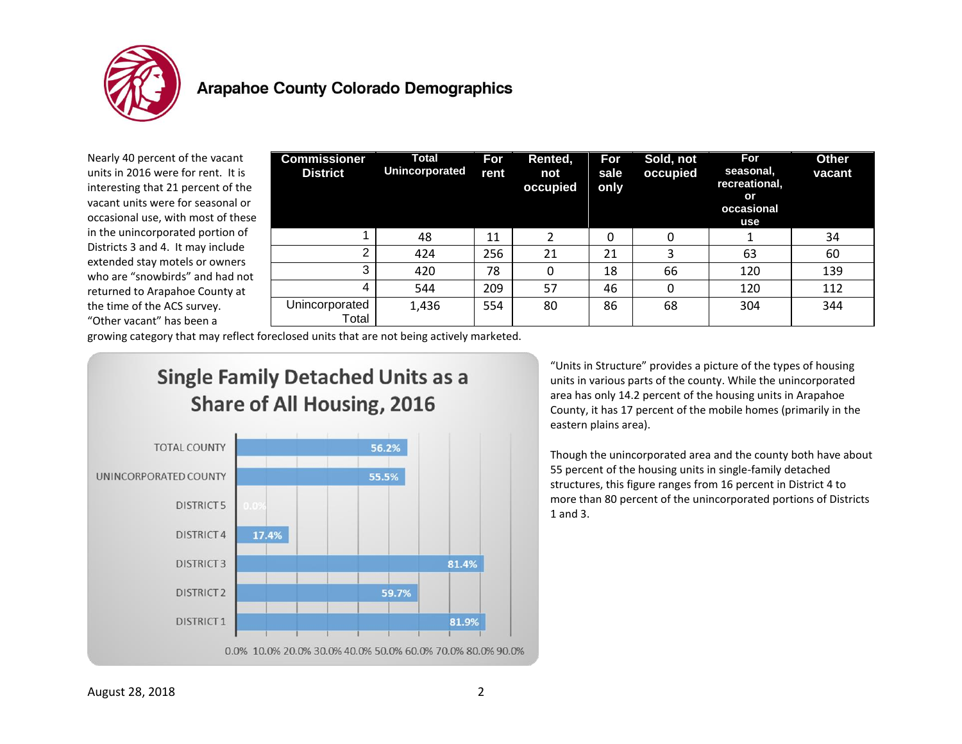

Nearly 40 percent of the vacant units in 2016 were for rent. It is interesting that 21 percent of the vacant units were for seasonal or occasional use, with most of these in the unincorporated portion of Districts 3 and 4. It may include extended stay motels or owners who are "snowbirds" and had not returned to Arapahoe County at the time of the ACS survey. "Other vacant" has been a

| <b>Commissioner</b><br><b>District</b> | Total<br><b>Unincorporated</b> | For<br>rent | Rented,<br>not<br>occupied | For<br>sale<br>only | Sold, not<br>occupied | <b>For</b><br>seasonal,<br>recreational,<br>or<br>occasional<br>use | <b>Other</b><br>vacant |
|----------------------------------------|--------------------------------|-------------|----------------------------|---------------------|-----------------------|---------------------------------------------------------------------|------------------------|
|                                        | 48                             | 11          |                            | 0                   | 0                     |                                                                     | 34                     |
| 2                                      | 424                            | 256         | 21                         | 21                  | 3                     | 63                                                                  | 60                     |
| 3                                      | 420                            | 78          | 0                          | 18                  | 66                    | 120                                                                 | 139                    |
| 4                                      | 544                            | 209         | 57                         | 46                  | 0                     | 120                                                                 | 112                    |
| Unincorporated<br>Total                | 1,436                          | 554         | 80                         | 86                  | 68                    | 304                                                                 | 344                    |

growing category that may reflect foreclosed units that are not being actively marketed.





"Units in Structure" provides a picture of the types of housing units in various parts of the county. While the unincorporated area has only 14.2 percent of the housing units in Arapahoe County, it has 17 percent of the mobile homes (primarily in the eastern plains area).

Though the unincorporated area and the county both have about 55 percent of the housing units in single-family detached structures, this figure ranges from 16 percent in District 4 to more than 80 percent of the unincorporated portions of Districts 1 and 3.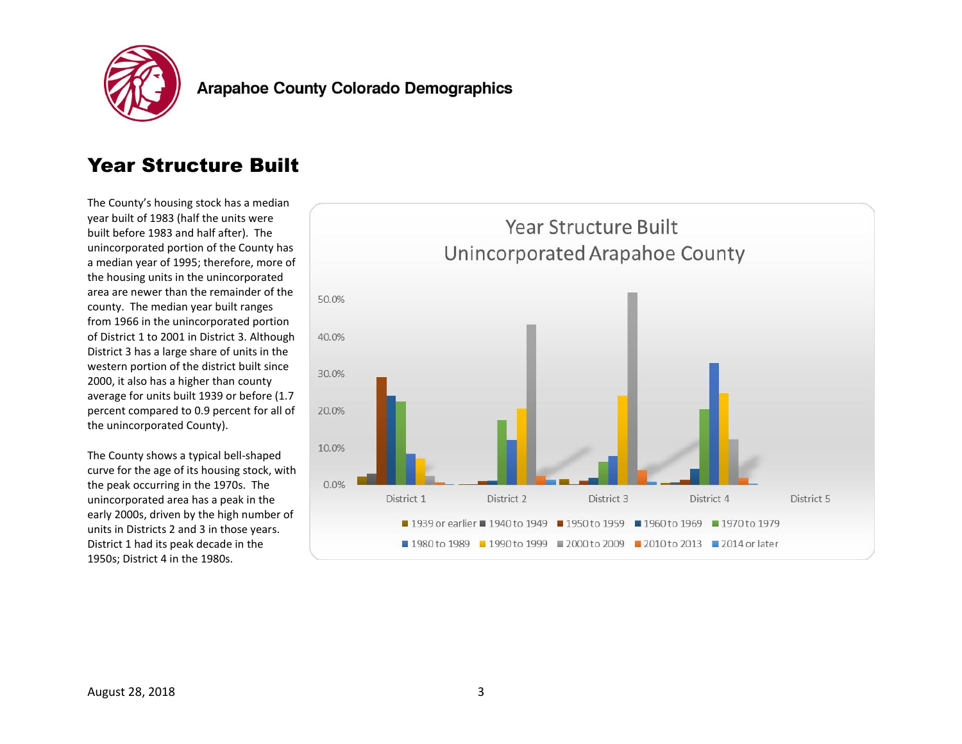

### Year Structure Built

The County's housing stock has a median year built of 1983 (half the units were built before 1983 and half after). The unincorporated portion of the County has a median year of 1995; therefore, more of the housing units in the unincorporated area are newer than the remainder of the county. The median year built ranges from 1966 in the unincorporated portion of District 1 to 2001 in District 3. Although District 3 has a large share of units in the western portion of the district built since 2000, it also has a higher than county average for units built 1939 or before (1.7 percent compared to 0.9 percent for all of the unincorporated County).

The County shows a typical bell-shaped curve for the age of its housing stock, with the peak occurring in the 1970s. The unincorporated area has a peak in the early 2000s, driven by the high number of units in Districts 2 and 3 in those years. District 1 had its peak decade in the 1950s; District 4 in the 1980s.

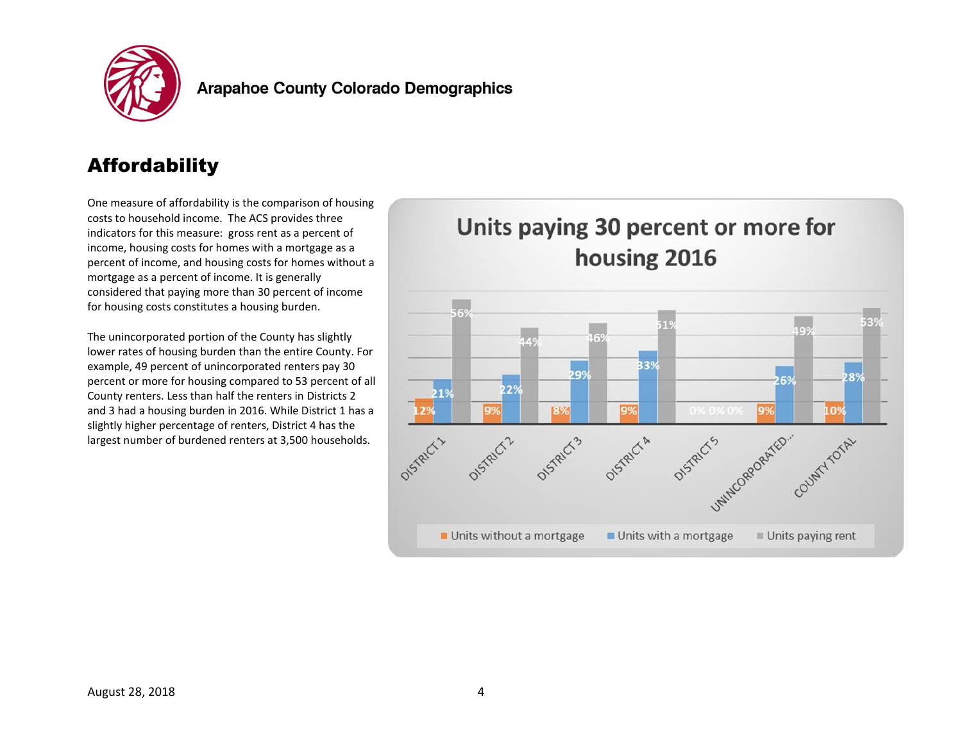

# **Affordability**

One measure of affordability is the comparison of housing costs to household income. The ACS provides three indicators for this measure: gross rent as a percent of income, housing costs for homes with a mortgage as a percent of income, and housing costs for homes without a mortgage as a percent of income. It is generally considered that paying more than 30 percent of income for housing costs constitutes a housing burden.

The unincorporated portion of the County has slightly lower rates of housing burden than the entire County. For example, 49 percent of unincorporated renters pay 30 percent or more for housing compared to 53 percent of all County renters. Less than half the renters in Districts 2 and 3 had a housing burden in 2016. While District 1 has a slightly higher percentage of renters, District 4 has the largest number of burdened renters at 3,500 households.

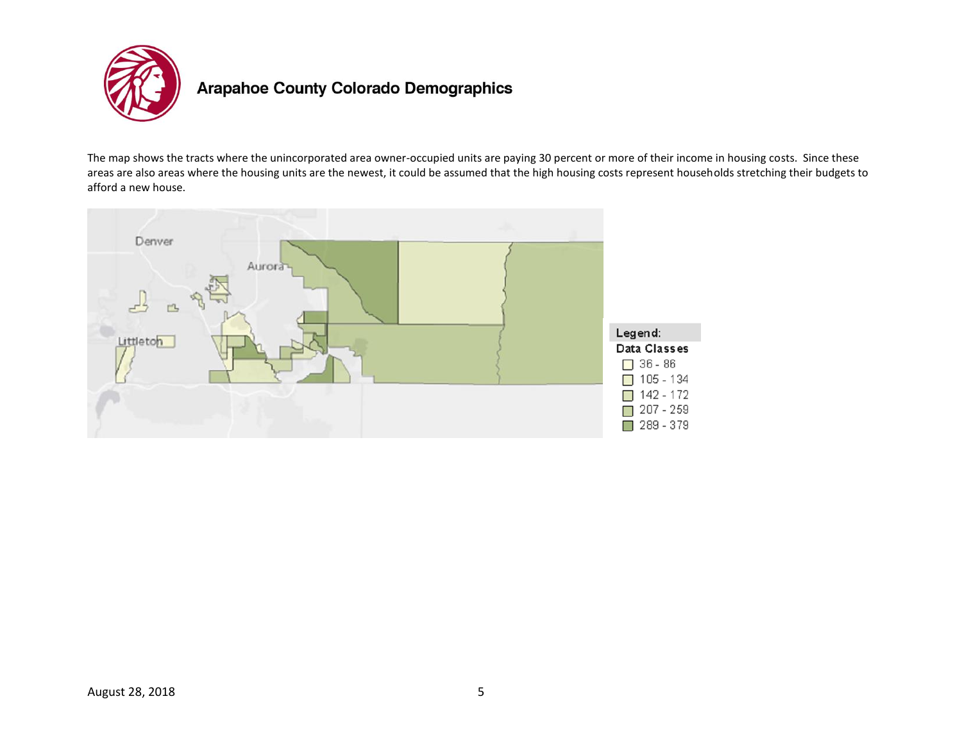

The map shows the tracts where the unincorporated area owner-occupied units are paying 30 percent or more of their income in housing costs. Since these areas are also areas where the housing units are the newest, it could be assumed that the high housing costs represent households stretching their budgets to afford a new house.

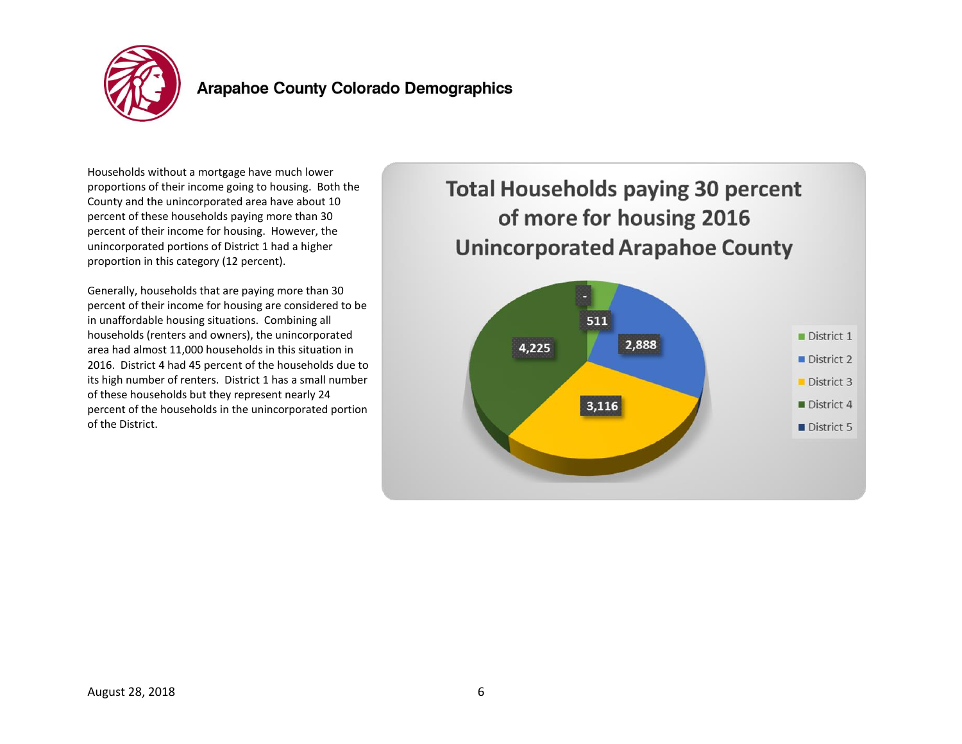

Households without a mortgage have much lower proportions of their income going to housing. Both the County and the unincorporated area have about 10 percent of these households paying more than 30 percent of their income for housing. However, the unincorporated portions of District 1 had a higher proportion in this category (12 percent).

Generally, households that are paying more than 30 percent of their income for housing are considered to be in unaffordable housing situations. Combining all households (renters and owners), the unincorporated area had almost 11,000 households in this situation in 2016. District 4 had 45 percent of the households due to its high number of renters. District 1 has a small number of these households but they represent nearly 24 percent of the households in the unincorporated portion of the District.